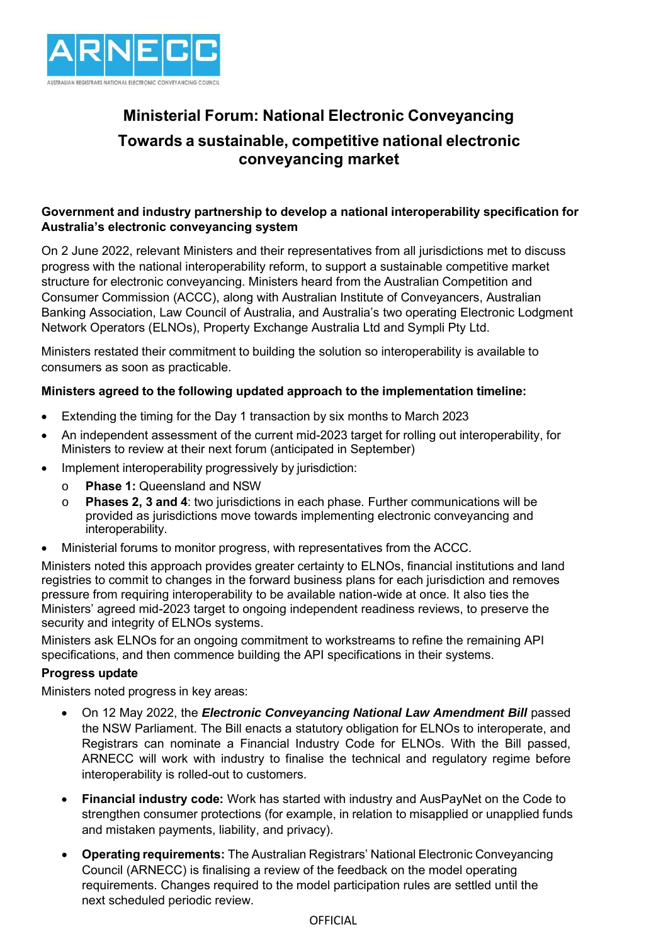

# **Ministerial Forum: National Electronic Conveyancing Towards a sustainable, competitive national electronic conveyancing market**

# **Government and industry partnership to develop a national interoperability specification for Australia's electronic conveyancing system**

On 2 June 2022, relevant Ministers and their representatives from all jurisdictions met to discuss progress with the national interoperability reform, to support a sustainable competitive market structure for electronic conveyancing. Ministers heard from the Australian Competition and Consumer Commission (ACCC), along with Australian Institute of Conveyancers, Australian Banking Association, Law Council of Australia, and Australia's two operating Electronic Lodgment Network Operators (ELNOs), Property Exchange Australia Ltd and Sympli Pty Ltd.

Ministers restated their commitment to building the solution so interoperability is available to consumers as soon as practicable.

### **Ministers agreed to the following updated approach to the implementation timeline:**

- Extending the timing for the Day 1 transaction by six months to March 2023
- An independent assessment of the current mid-2023 target for rolling out interoperability, for Ministers to review at their next forum (anticipated in September)
- Implement interoperability progressively by jurisdiction:
	- o **Phase 1:** Queensland and NSW
	- o **Phases 2, 3 and 4**: two jurisdictions in each phase. Further communications will be provided as jurisdictions move towards implementing electronic conveyancing and interoperability.
- Ministerial forums to monitor progress, with representatives from the ACCC.

Ministers noted this approach provides greater certainty to ELNOs, financial institutions and land registries to commit to changes in the forward business plans for each jurisdiction and removes pressure from requiring interoperability to be available nation-wide at once. It also ties the Ministers' agreed mid-2023 target to ongoing independent readiness reviews, to preserve the security and integrity of ELNOs systems.

Ministers ask ELNOs for an ongoing commitment to workstreams to refine the remaining API specifications, and then commence building the API specifications in their systems.

#### **Progress update**

Ministers noted progress in key areas:

- On 12 May 2022, the *Electronic Conveyancing National Law Amendment Bill* passed the NSW Parliament. The Bill enacts a statutory obligation for ELNOs to interoperate, and Registrars can nominate a Financial Industry Code for ELNOs. With the Bill passed, ARNECC will work with industry to finalise the technical and regulatory regime before interoperability is rolled-out to customers.
- **Financial industry code:** Work has started with industry and AusPayNet on the Code to strengthen consumer protections (for example, in relation to misapplied or unapplied funds and mistaken payments, liability, and privacy).
- **Operating requirements:** The Australian Registrars' National Electronic Conveyancing Council (ARNECC) is finalising a review of the feedback on the model operating requirements. Changes required to the model participation rules are settled until the next scheduled periodic review.